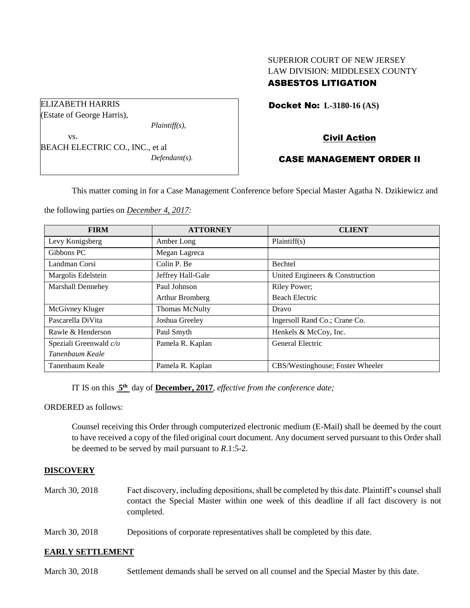## SUPERIOR COURT OF NEW JERSEY LAW DIVISION: MIDDLESEX COUNTY ASBESTOS LITIGATION

Docket No: **L-3180-16 (AS)** 

Civil Action

## CASE MANAGEMENT ORDER II

This matter coming in for a Case Management Conference before Special Master Agatha N. Dzikiewicz and

the following parties on *December 4, 2017:*

| <b>FIRM</b>            | <b>ATTORNEY</b>   | <b>CLIENT</b>                    |
|------------------------|-------------------|----------------------------------|
| Levy Konigsberg        | Amber Long        | Plaintiff(s)                     |
| Gibbons PC             | Megan Lagreca     |                                  |
| Landman Corsi          | Colin P. Be       | Bechtel                          |
| Margolis Edelstein     | Jeffrey Hall-Gale | United Engineers & Construction  |
| Marshall Dennehey      | Paul Johnson      | Riley Power;                     |
|                        | Arthur Bromberg   | <b>Beach Electric</b>            |
| McGivney Kluger        | Thomas McNulty    | Dravo                            |
| Pascarella DiVita      | Joshua Greeley    | Ingersoll Rand Co.; Crane Co.    |
| Rawle & Henderson      | Paul Smyth        | Henkels & McCoy, Inc.            |
| Speziali Greenwald c/o | Pamela R. Kaplan  | General Electric                 |
| Tanenbaum Keale        |                   |                                  |
| Tanenbaum Keale        | Pamela R. Kaplan  | CBS/Westinghouse; Foster Wheeler |

IT IS on this  $5<sup>th</sup>$  day of **December, 2017**, *effective from the conference date*;

ORDERED as follows:

Counsel receiving this Order through computerized electronic medium (E-Mail) shall be deemed by the court to have received a copy of the filed original court document. Any document served pursuant to this Order shall be deemed to be served by mail pursuant to *R*.1:5-2.

## **DISCOVERY**

- March 30, 2018 Fact discovery, including depositions, shall be completed by this date. Plaintiff's counsel shall contact the Special Master within one week of this deadline if all fact discovery is not completed.
- March 30, 2018 Depositions of corporate representatives shall be completed by this date.

## **EARLY SETTLEMENT**

March 30, 2018 Settlement demands shall be served on all counsel and the Special Master by this date.

ELIZABETH HARRIS

(Estate of George Harris),

vs.

*Plaintiff(s),*

BEACH ELECTRIC CO., INC., et al *Defendant(s).*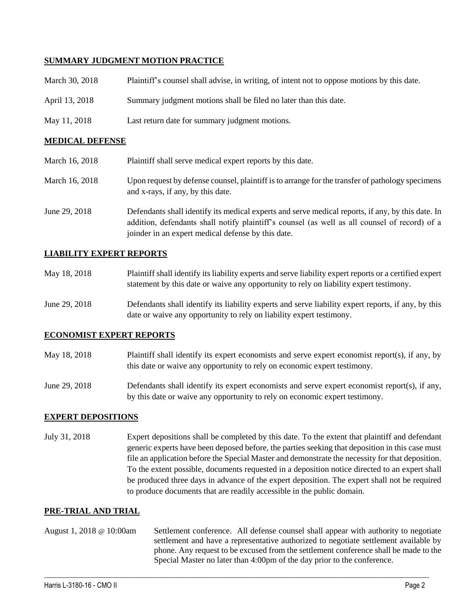## **SUMMARY JUDGMENT MOTION PRACTICE**

| March 30, 2018 | Plaintiff's counsel shall advise, in writing, of intent not to oppose motions by this date. |
|----------------|---------------------------------------------------------------------------------------------|
| April 13, 2018 | Summary judgment motions shall be filed no later than this date.                            |
| May 11, 2018   | Last return date for summary judgment motions.                                              |

## **MEDICAL DEFENSE**

| March 16, 2018 | Plaintiff shall serve medical expert reports by this date.                                                                                                                                                                                               |
|----------------|----------------------------------------------------------------------------------------------------------------------------------------------------------------------------------------------------------------------------------------------------------|
| March 16, 2018 | Upon request by defense counsel, plaintiff is to arrange for the transfer of pathology specimens<br>and x-rays, if any, by this date.                                                                                                                    |
| June 29, 2018  | Defendants shall identify its medical experts and serve medical reports, if any, by this date. In<br>addition, defendants shall notify plaintiff's counsel (as well as all counsel of record) of a<br>joinder in an expert medical defense by this date. |

## **LIABILITY EXPERT REPORTS**

| May 18, 2018 | Plaintiff shall identify its liability experts and serve liability expert reports or a certified expert |
|--------------|---------------------------------------------------------------------------------------------------------|
|              | statement by this date or waive any opportunity to rely on liability expert testimony.                  |

June 29, 2018 Defendants shall identify its liability experts and serve liability expert reports, if any, by this date or waive any opportunity to rely on liability expert testimony.

## **ECONOMIST EXPERT REPORTS**

- May 18, 2018 Plaintiff shall identify its expert economists and serve expert economist report(s), if any, by this date or waive any opportunity to rely on economic expert testimony.
- June 29, 2018 Defendants shall identify its expert economists and serve expert economist report(s), if any, by this date or waive any opportunity to rely on economic expert testimony.

## **EXPERT DEPOSITIONS**

July 31, 2018 Expert depositions shall be completed by this date. To the extent that plaintiff and defendant generic experts have been deposed before, the parties seeking that deposition in this case must file an application before the Special Master and demonstrate the necessity for that deposition. To the extent possible, documents requested in a deposition notice directed to an expert shall be produced three days in advance of the expert deposition. The expert shall not be required to produce documents that are readily accessible in the public domain.

#### **PRE-TRIAL AND TRIAL**

August 1, 2018 @ 10:00am Settlement conference. All defense counsel shall appear with authority to negotiate settlement and have a representative authorized to negotiate settlement available by phone. Any request to be excused from the settlement conference shall be made to the Special Master no later than 4:00pm of the day prior to the conference.

 $\_$  ,  $\_$  ,  $\_$  ,  $\_$  ,  $\_$  ,  $\_$  ,  $\_$  ,  $\_$  ,  $\_$  ,  $\_$  ,  $\_$  ,  $\_$  ,  $\_$  ,  $\_$  ,  $\_$  ,  $\_$  ,  $\_$  ,  $\_$  ,  $\_$  ,  $\_$  ,  $\_$  ,  $\_$  ,  $\_$  ,  $\_$  ,  $\_$  ,  $\_$  ,  $\_$  ,  $\_$  ,  $\_$  ,  $\_$  ,  $\_$  ,  $\_$  ,  $\_$  ,  $\_$  ,  $\_$  ,  $\_$  ,  $\_$  ,